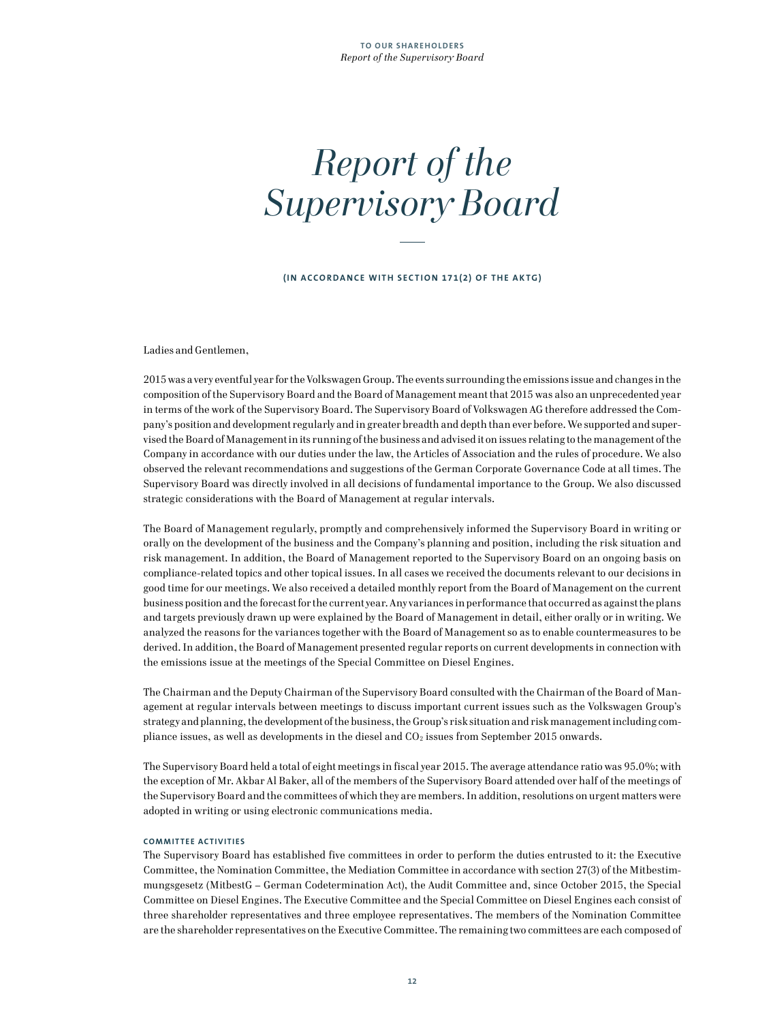# *Report of the Supervisory Board*

**(IN ACCORDANCE WITH SECTION 171(2) OF THE AKTG)**

Ladies and Gentlemen,

2015 was a very eventful year for the Volkswagen Group. The events surrounding the emissions issue and changes in the composition of the Supervisory Board and the Board of Management meant that 2015 was also an unprecedented year in terms of the work of the Supervisory Board. The Supervisory Board of Volkswagen AG therefore addressed the Company's position and development regularly and in greater breadth and depth than ever before. We supported and supervised the Board of Management in its running of the business and advised it on issues relating to the management of the Company in accordance with our duties under the law, the Articles of Association and the rules of procedure. We also observed the relevant recommendations and suggestions of the German Corporate Governance Code at all times. The Supervisory Board was directly involved in all decisions of fundamental importance to the Group. We also discussed strategic considerations with the Board of Management at regular intervals.

The Board of Management regularly, promptly and comprehensively informed the Supervisory Board in writing or orally on the development of the business and the Company's planning and position, including the risk situation and risk management. In addition, the Board of Management reported to the Supervisory Board on an ongoing basis on compliance-related topics and other topical issues. In all cases we received the documents relevant to our decisions in good time for our meetings. We also received a detailed monthly report from the Board of Management on the current business position and the forecast for the current year. Any variances in performance that occurred as against the plans and targets previously drawn up were explained by the Board of Management in detail, either orally or in writing. We analyzed the reasons for the variances together with the Board of Management so as to enable countermeasures to be derived. In addition, the Board of Management presented regular reports on current developments in connection with the emissions issue at the meetings of the Special Committee on Diesel Engines.

The Chairman and the Deputy Chairman of the Supervisory Board consulted with the Chairman of the Board of Management at regular intervals between meetings to discuss important current issues such as the Volkswagen Group's strategy and planning, the development of the business, the Group's risk situation and risk management including compliance issues, as well as developments in the diesel and  $CO<sub>2</sub>$  issues from September 2015 onwards.

The Supervisory Board held a total of eight meetings in fiscal year 2015. The average attendance ratio was 95.0%; with the exception of Mr. Akbar Al Baker, all of the members of the Supervisory Board attended over half of the meetings of the Supervisory Board and the committees of which they are members. In addition, resolutions on urgent matters were adopted in writing or using electronic communications media.

#### **COMMITTEE ACTIVITIES**

The Supervisory Board has established five committees in order to perform the duties entrusted to it: the Executive Committee, the Nomination Committee, the Mediation Committee in accordance with section 27(3) of the Mitbestimmungsgesetz (MitbestG – German Codetermination Act), the Audit Committee and, since October 2015, the Special Committee on Diesel Engines. The Executive Committee and the Special Committee on Diesel Engines each consist of three shareholder representatives and three employee representatives. The members of the Nomination Committee are the shareholder representatives on the Executive Committee. The remaining two committees are each composed of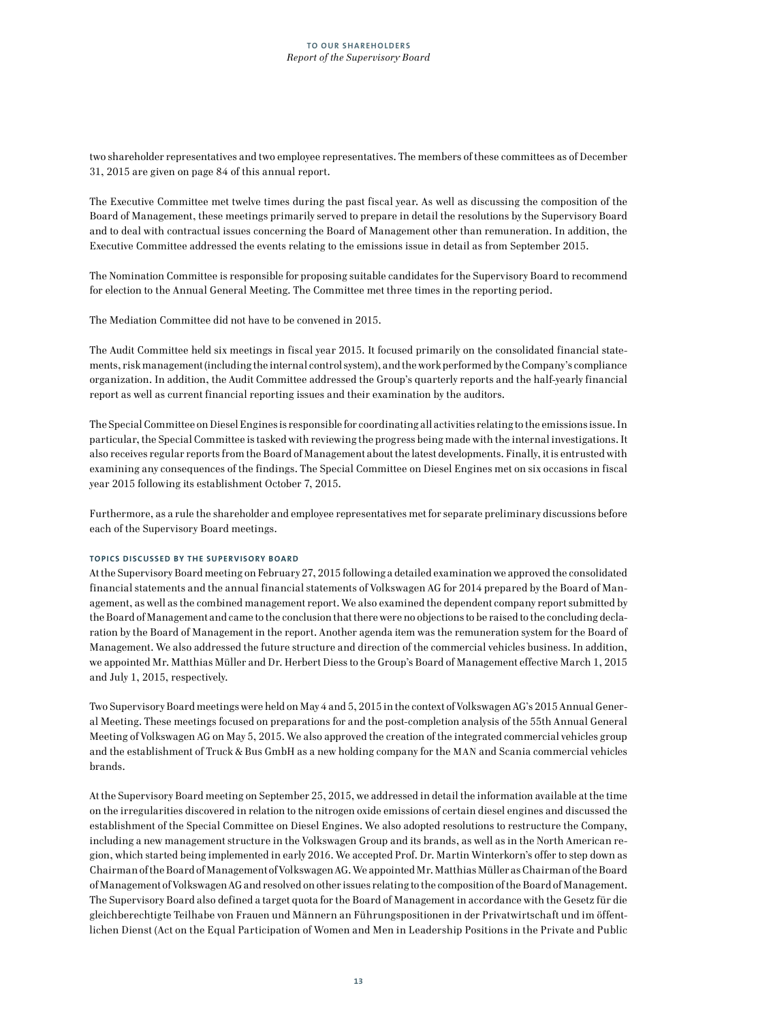two shareholder representatives and two employee representatives. The members of these committees as of December 31, 2015 are given on page 84 of this annual report.

The Executive Committee met twelve times during the past fiscal year. As well as discussing the composition of the Board of Management, these meetings primarily served to prepare in detail the resolutions by the Supervisory Board and to deal with contractual issues concerning the Board of Management other than remuneration. In addition, the Executive Committee addressed the events relating to the emissions issue in detail as from September 2015.

The Nomination Committee is responsible for proposing suitable candidates for the Supervisory Board to recommend for election to the Annual General Meeting. The Committee met three times in the reporting period.

The Mediation Committee did not have to be convened in 2015.

The Audit Committee held six meetings in fiscal year 2015. It focused primarily on the consolidated financial statements, risk management (including the internal control system), and the work performed by the Company's compliance organization. In addition, the Audit Committee addressed the Group's quarterly reports and the half-yearly financial report as well as current financial reporting issues and their examination by the auditors.

The Special Committee on Diesel Engines is responsible for coordinating all activities relating to the emissions issue. In particular, the Special Committee is tasked with reviewing the progress being made with the internal investigations. It also receives regular reports from the Board of Management about the latest developments. Finally, it is entrusted with examining any consequences of the findings. The Special Committee on Diesel Engines met on six occasions in fiscal year 2015 following its establishment October 7, 2015.

Furthermore, as a rule the shareholder and employee representatives met for separate preliminary discussions before each of the Supervisory Board meetings.

# **TOPICS DISCUSSED BY THE SUPERVISORY BOARD**

At the Supervisory Board meeting on February 27, 2015 following a detailed examination we approved the consolidated financial statements and the annual financial statements of Volkswagen AG for 2014 prepared by the Board of Management, as well as the combined management report. We also examined the dependent company report submitted by the Board of Management and came to the conclusion that there were no objections to be raised to the concluding declaration by the Board of Management in the report. Another agenda item was the remuneration system for the Board of Management. We also addressed the future structure and direction of the commercial vehicles business. In addition, we appointed Mr. Matthias Müller and Dr. Herbert Diess to the Group's Board of Management effective March 1, 2015 and July 1, 2015, respectively.

Two Supervisory Board meetings were held on May 4 and 5, 2015 in the context of Volkswagen AG's 2015 Annual General Meeting. These meetings focused on preparations for and the post-completion analysis of the 55th Annual General Meeting of Volkswagen AG on May 5, 2015. We also approved the creation of the integrated commercial vehicles group and the establishment of Truck & Bus GmbH as a new holding company for the MAN and Scania commercial vehicles brands.

At the Supervisory Board meeting on September 25, 2015, we addressed in detail the information available at the time on the irregularities discovered in relation to the nitrogen oxide emissions of certain diesel engines and discussed the establishment of the Special Committee on Diesel Engines. We also adopted resolutions to restructure the Company, including a new management structure in the Volkswagen Group and its brands, as well as in the North American region, which started being implemented in early 2016. We accepted Prof. Dr. Martin Winterkorn's offer to step down as Chairman of the Board of Management of Volkswagen AG. We appointed Mr. Matthias Müller as Chairman of the Board of Management of Volkswagen AG and resolved on other issues relating to the composition of the Board of Management. The Supervisory Board also defined a target quota for the Board of Management in accordance with the Gesetz für die gleichberechtigte Teilhabe von Frauen und Männern an Führungspositionen in der Privatwirtschaft und im öffentlichen Dienst (Act on the Equal Participation of Women and Men in Leadership Positions in the Private and Public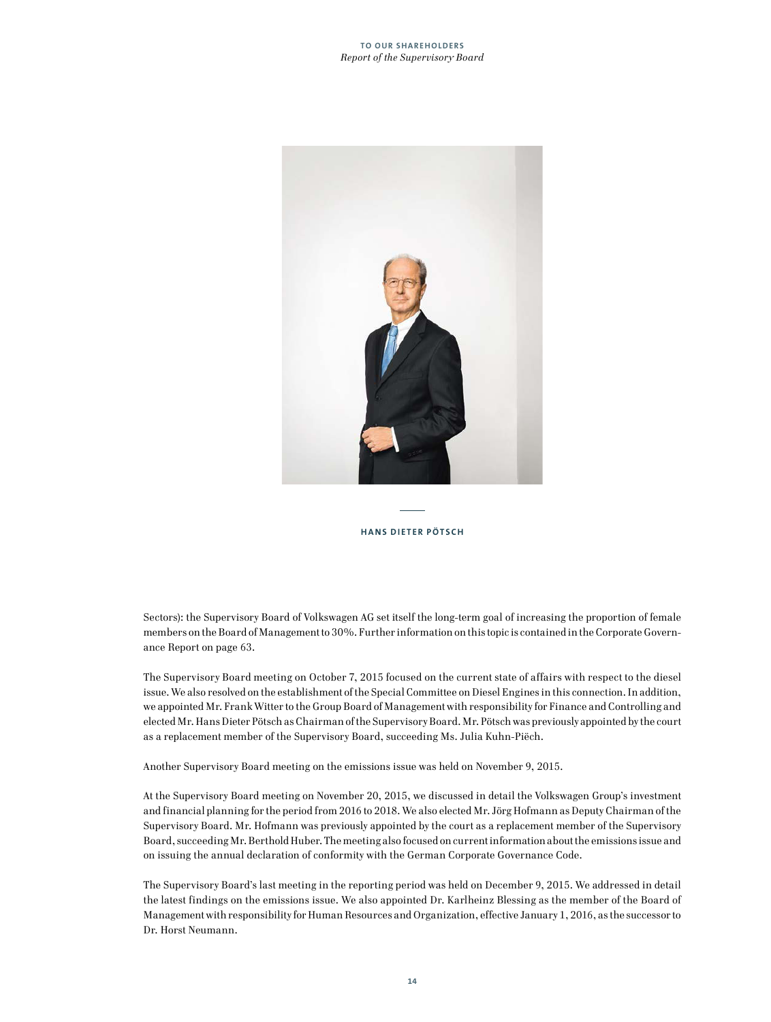### **TO OUR SHAREHOLDERS** *Report of the Supervisory Board*



## **HANS DIETER PÖTSCH**

Sectors): the Supervisory Board of Volkswagen AG set itself the long-term goal of increasing the proportion of female members on the Board of Management to 30%. Further information on this topic is contained in the Corporate Governance Report on page 63.

The Supervisory Board meeting on October 7, 2015 focused on the current state of affairs with respect to the diesel issue. We also resolved on the establishment of the Special Committee on Diesel Engines in this connection. In addition, we appointed Mr. Frank Witter to the Group Board of Management with responsibility for Finance and Controlling and elected Mr. Hans Dieter Pötsch as Chairman of the Supervisory Board. Mr. Pötsch was previously appointed by the court as a replacement member of the Supervisory Board, succeeding Ms. Julia Kuhn-Piëch.

Another Supervisory Board meeting on the emissions issue was held on November 9, 2015.

At the Supervisory Board meeting on November 20, 2015, we discussed in detail the Volkswagen Group's investment and financial planning for the period from 2016 to 2018. We also elected Mr. Jörg Hofmann as Deputy Chairman of the Supervisory Board. Mr. Hofmann was previously appointed by the court as a replacement member of the Supervisory Board, succeeding Mr. Berthold Huber. The meeting also focused on current information about the emissions issue and on issuing the annual declaration of conformity with the German Corporate Governance Code.

The Supervisory Board's last meeting in the reporting period was held on December 9, 2015. We addressed in detail the latest findings on the emissions issue. We also appointed Dr. Karlheinz Blessing as the member of the Board of Management with responsibility for Human Resources and Organization, effective January 1, 2016, as the successor to Dr. Horst Neumann.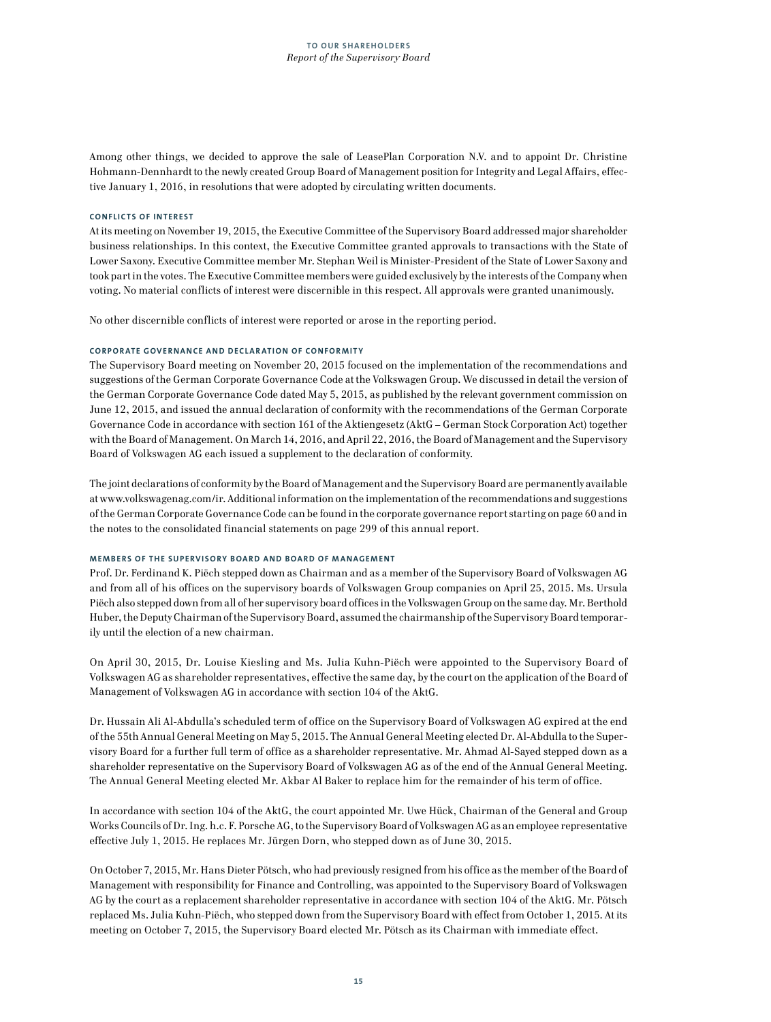Among other things, we decided to approve the sale of LeasePlan Corporation N.V. and to appoint Dr. Christine Hohmann-Dennhardt to the newly created Group Board of Management position for Integrity and Legal Affairs, effective January 1, 2016, in resolutions that were adopted by circulating written documents.

#### **CONFLICTS OF INTEREST**

At its meeting on November 19, 2015, the Executive Committee of the Supervisory Board addressed major shareholder business relationships. In this context, the Executive Committee granted approvals to transactions with the State of Lower Saxony. Executive Committee member Mr. Stephan Weil is Minister-President of the State of Lower Saxony and took part in the votes. The Executive Committee members were guided exclusively by the interests of the Company when voting. No material conflicts of interest were discernible in this respect. All approvals were granted unanimously.

No other discernible conflicts of interest were reported or arose in the reporting period.

# **CORPORATE GOVERNANCE AND DECLARATION OF CONFORMITY**

The Supervisory Board meeting on November 20, 2015 focused on the implementation of the recommendations and suggestions of the German Corporate Governance Code at the Volkswagen Group. We discussed in detail the version of the German Corporate Governance Code dated May 5, 2015, as published by the relevant government commission on June 12, 2015, and issued the annual declaration of conformity with the recommendations of the German Corporate Governance Code in accordance with section 161 of the Aktiengesetz (AktG – German Stock Corporation Act) together with the Board of Management. On March 14, 2016, and April 22, 2016, the Board of Management and the Supervisory Board of Volkswagen AG each issued a supplement to the declaration of conformity.

The joint declarations of conformity by the Board of Management and the Supervisory Board are permanently available at www.volkswagenag.com/ir. Additional information on the implementation of the recommendations and suggestions of the German Corporate Governance Code can be found in the corporate governance report starting on page 60 and in the notes to the consolidated financial statements on page 299 of this annual report.

# **MEMBERS OF THE SUPERVISORY BOARD AND BOARD OF MANAGEMENT**

Prof. Dr. Ferdinand K. Piëch stepped down as Chairman and as a member of the Supervisory Board of Volkswagen AG and from all of his offices on the supervisory boards of Volkswagen Group companies on April 25, 2015. Ms. Ursula Piëch also stepped down from all of her supervisory board offices in the Volkswagen Group on the same day. Mr. Berthold Huber, the Deputy Chairman of the Supervisory Board, assumed the chairmanship of the Supervisory Board temporarily until the election of a new chairman.

On April 30, 2015, Dr. Louise Kiesling and Ms. Julia Kuhn-Piëch were appointed to the Supervisory Board of Volkswagen AG as shareholder representatives, effective the same day, by the court on the application of the Board of Management of Volkswagen AG in accordance with section 104 of the AktG.

Dr. Hussain Ali Al-Abdulla's scheduled term of office on the Supervisory Board of Volkswagen AG expired at the end of the 55th Annual General Meeting on May 5, 2015. The Annual General Meeting elected Dr. Al-Abdulla to the Supervisory Board for a further full term of office as a shareholder representative. Mr. Ahmad Al-Sayed stepped down as a shareholder representative on the Supervisory Board of Volkswagen AG as of the end of the Annual General Meeting. The Annual General Meeting elected Mr. Akbar Al Baker to replace him for the remainder of his term of office.

In accordance with section 104 of the AktG, the court appointed Mr. Uwe Hück, Chairman of the General and Group Works Councils of Dr. Ing. h.c. F. Porsche AG, to the Supervisory Board of Volkswagen AG as an employee representative effective July 1, 2015. He replaces Mr. Jürgen Dorn, who stepped down as of June 30, 2015.

On October 7, 2015, Mr. Hans Dieter Pötsch, who had previously resigned from his office as the member of the Board of Management with responsibility for Finance and Controlling, was appointed to the Supervisory Board of Volkswagen AG by the court as a replacement shareholder representative in accordance with section 104 of the AktG. Mr. Pötsch replaced Ms. Julia Kuhn-Piëch, who stepped down from the Supervisory Board with effect from October 1, 2015. At its meeting on October 7, 2015, the Supervisory Board elected Mr. Pötsch as its Chairman with immediate effect.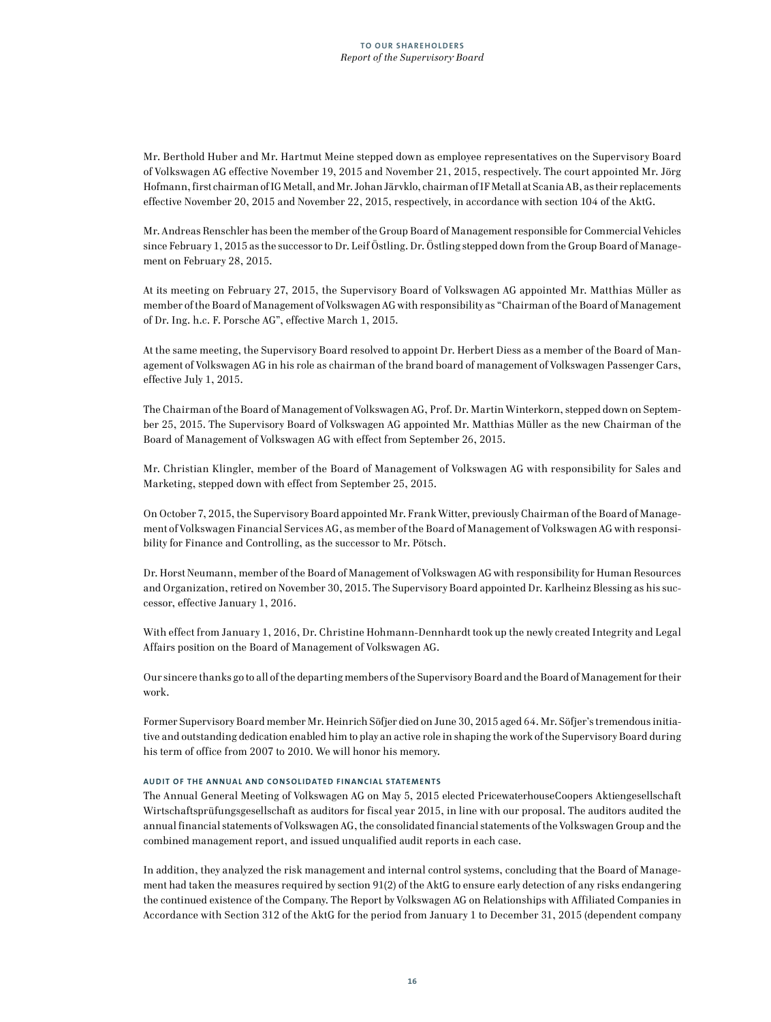Mr. Berthold Huber and Mr. Hartmut Meine stepped down as employee representatives on the Supervisory Board of Volkswagen AG effective November 19, 2015 and November 21, 2015, respectively. The court appointed Mr. Jörg Hofmann, first chairman of IG Metall, and Mr. Johan Järvklo, chairman of IF Metall at Scania AB, as their replacements effective November 20, 2015 and November 22, 2015, respectively, in accordance with section 104 of the AktG.

Mr. Andreas Renschler has been the member of the Group Board of Management responsible for Commercial Vehicles since February 1, 2015 as the successor to Dr. Leif Östling. Dr. Östling stepped down from the Group Board of Management on February 28, 2015.

At its meeting on February 27, 2015, the Supervisory Board of Volkswagen AG appointed Mr. Matthias Müller as member of the Board of Management of Volkswagen AG with responsibility as "Chairman of the Board of Management of Dr. Ing. h.c. F. Porsche AG", effective March 1, 2015.

At the same meeting, the Supervisory Board resolved to appoint Dr. Herbert Diess as a member of the Board of Management of Volkswagen AG in his role as chairman of the brand board of management of Volkswagen Passenger Cars, effective July 1, 2015.

The Chairman of the Board of Management of Volkswagen AG, Prof. Dr. Martin Winterkorn, stepped down on September 25, 2015. The Supervisory Board of Volkswagen AG appointed Mr. Matthias Müller as the new Chairman of the Board of Management of Volkswagen AG with effect from September 26, 2015.

Mr. Christian Klingler, member of the Board of Management of Volkswagen AG with responsibility for Sales and Marketing, stepped down with effect from September 25, 2015.

On October 7, 2015, the Supervisory Board appointed Mr. Frank Witter, previously Chairman of the Board of Management of Volkswagen Financial Services AG, as member of the Board of Management of Volkswagen AG with responsibility for Finance and Controlling, as the successor to Mr. Pötsch.

Dr. Horst Neumann, member of the Board of Management of Volkswagen AG with responsibility for Human Resources and Organization, retired on November 30, 2015. The Supervisory Board appointed Dr. Karlheinz Blessing as his successor, effective January 1, 2016.

With effect from January 1, 2016, Dr. Christine Hohmann-Dennhardt took up the newly created Integrity and Legal Affairs position on the Board of Management of Volkswagen AG.

Our sincere thanks go to all of the departing members of the Supervisory Board and the Board of Management for their work.

Former Supervisory Board member Mr. Heinrich Söfjer died on June 30, 2015 aged 64. Mr. Söfjer's tremendous initiative and outstanding dedication enabled him to play an active role in shaping the work of the Supervisory Board during his term of office from 2007 to 2010. We will honor his memory.

# **AUDIT OF THE ANNUAL AND CONSOLIDATED FINANCIAL STATEMENTS**

The Annual General Meeting of Volkswagen AG on May 5, 2015 elected PricewaterhouseCoopers Aktiengesellschaft Wirtschaftsprüfungsgesellschaft as auditors for fiscal year 2015, in line with our proposal. The auditors audited the annual financial statements of Volkswagen AG, the consolidated financial statements of the Volkswagen Group and the combined management report, and issued unqualified audit reports in each case.

In addition, they analyzed the risk management and internal control systems, concluding that the Board of Management had taken the measures required by section 91(2) of the AktG to ensure early detection of any risks endangering the continued existence of the Company. The Report by Volkswagen AG on Relationships with Affiliated Companies in Accordance with Section 312 of the AktG for the period from January 1 to December 31, 2015 (dependent company